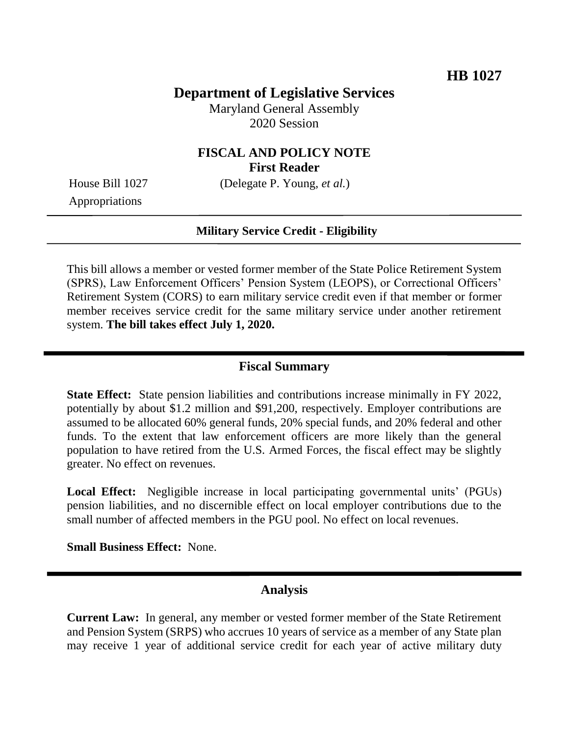### **Department of Legislative Services**

Maryland General Assembly 2020 Session

### **FISCAL AND POLICY NOTE First Reader**

House Bill 1027 (Delegate P. Young, *et al.*)

Appropriations

#### **Military Service Credit - Eligibility**

This bill allows a member or vested former member of the State Police Retirement System (SPRS), Law Enforcement Officers' Pension System (LEOPS), or Correctional Officers' Retirement System (CORS) to earn military service credit even if that member or former member receives service credit for the same military service under another retirement system. **The bill takes effect July 1, 2020.** 

### **Fiscal Summary**

**State Effect:** State pension liabilities and contributions increase minimally in FY 2022, potentially by about \$1.2 million and \$91,200, respectively. Employer contributions are assumed to be allocated 60% general funds, 20% special funds, and 20% federal and other funds. To the extent that law enforcement officers are more likely than the general population to have retired from the U.S. Armed Forces, the fiscal effect may be slightly greater. No effect on revenues.

Local Effect: Negligible increase in local participating governmental units' (PGUs) pension liabilities, and no discernible effect on local employer contributions due to the small number of affected members in the PGU pool. No effect on local revenues.

**Small Business Effect:** None.

#### **Analysis**

**Current Law:** In general, any member or vested former member of the State Retirement and Pension System (SRPS) who accrues 10 years of service as a member of any State plan may receive 1 year of additional service credit for each year of active military duty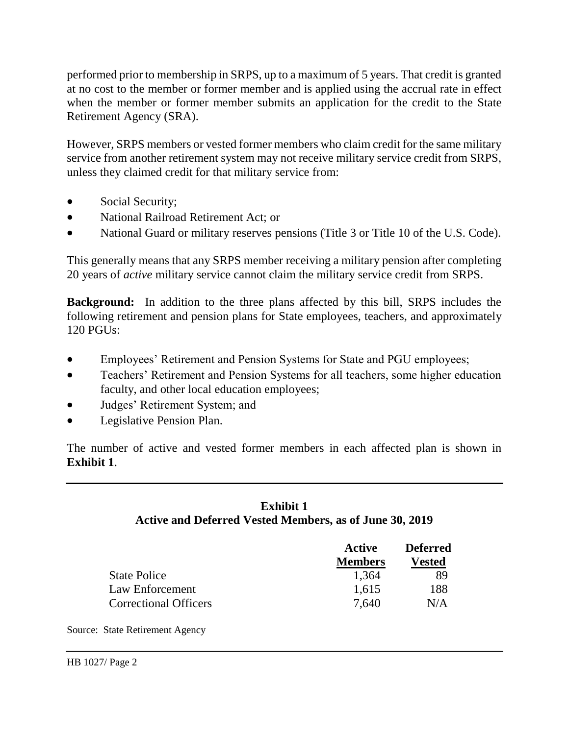performed prior to membership in SRPS, up to a maximum of 5 years. That credit is granted at no cost to the member or former member and is applied using the accrual rate in effect when the member or former member submits an application for the credit to the State Retirement Agency (SRA).

However, SRPS members or vested former members who claim credit for the same military service from another retirement system may not receive military service credit from SRPS, unless they claimed credit for that military service from:

- Social Security;
- National Railroad Retirement Act; or
- National Guard or military reserves pensions (Title 3 or Title 10 of the U.S. Code).

This generally means that any SRPS member receiving a military pension after completing 20 years of *active* military service cannot claim the military service credit from SRPS.

**Background:** In addition to the three plans affected by this bill, SRPS includes the following retirement and pension plans for State employees, teachers, and approximately 120 PGUs:

- Employees' Retirement and Pension Systems for State and PGU employees;
- Teachers' Retirement and Pension Systems for all teachers, some higher education faculty, and other local education employees;
- Judges' Retirement System; and
- Legislative Pension Plan.

The number of active and vested former members in each affected plan is shown in **Exhibit 1**.

### **Exhibit 1 Active and Deferred Vested Members, as of June 30, 2019**

|                              | Active<br><b>Members</b> | <b>Deferred</b><br><b>Vested</b> |
|------------------------------|--------------------------|----------------------------------|
|                              |                          |                                  |
| <b>State Police</b>          | 1,364                    | 89                               |
| Law Enforcement              | 1,615                    | 188                              |
| <b>Correctional Officers</b> | 7.640                    | N/A                              |

Source: State Retirement Agency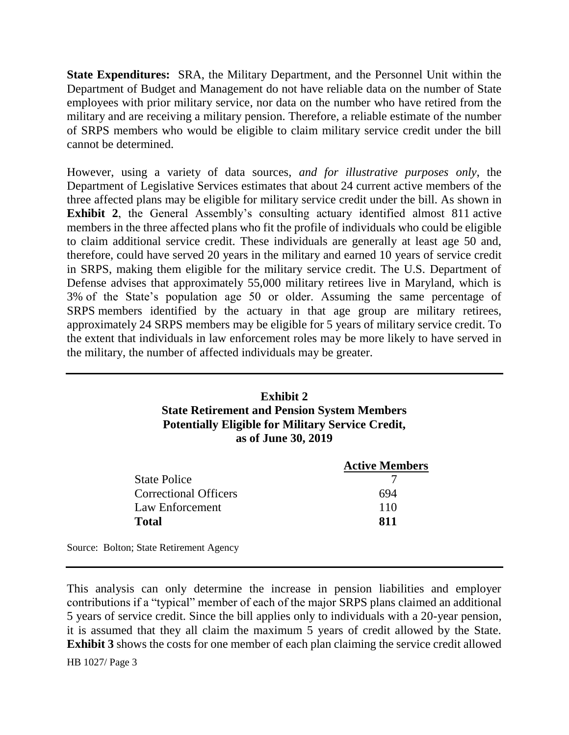**State Expenditures:** SRA, the Military Department, and the Personnel Unit within the Department of Budget and Management do not have reliable data on the number of State employees with prior military service, nor data on the number who have retired from the military and are receiving a military pension. Therefore, a reliable estimate of the number of SRPS members who would be eligible to claim military service credit under the bill cannot be determined.

However, using a variety of data sources, *and for illustrative purposes only*, the Department of Legislative Services estimates that about 24 current active members of the three affected plans may be eligible for military service credit under the bill. As shown in **Exhibit 2**, the General Assembly's consulting actuary identified almost 811 active members in the three affected plans who fit the profile of individuals who could be eligible to claim additional service credit. These individuals are generally at least age 50 and, therefore, could have served 20 years in the military and earned 10 years of service credit in SRPS, making them eligible for the military service credit. The U.S. Department of Defense advises that approximately 55,000 military retirees live in Maryland, which is 3% of the State's population age 50 or older. Assuming the same percentage of SRPS members identified by the actuary in that age group are military retirees, approximately 24 SRPS members may be eligible for 5 years of military service credit. To the extent that individuals in law enforcement roles may be more likely to have served in the military, the number of affected individuals may be greater.

### **Exhibit 2 State Retirement and Pension System Members Potentially Eligible for Military Service Credit, as of June 30, 2019**

|                              | <b>Active Members</b> |
|------------------------------|-----------------------|
| <b>State Police</b>          |                       |
| <b>Correctional Officers</b> | 694                   |
| Law Enforcement              | 110                   |
| <b>Total</b>                 | 811                   |
|                              |                       |

Source: Bolton; State Retirement Agency

This analysis can only determine the increase in pension liabilities and employer contributions if a "typical" member of each of the major SRPS plans claimed an additional 5 years of service credit. Since the bill applies only to individuals with a 20-year pension, it is assumed that they all claim the maximum 5 years of credit allowed by the State. **Exhibit 3** shows the costs for one member of each plan claiming the service credit allowed

HB 1027/ Page 3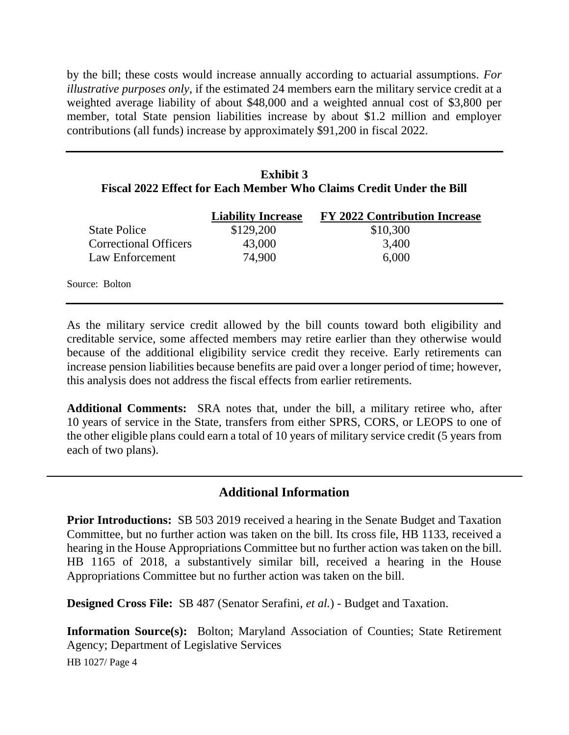by the bill; these costs would increase annually according to actuarial assumptions. *For illustrative purposes only*, if the estimated 24 members earn the military service credit at a weighted average liability of about \$48,000 and a weighted annual cost of \$3,800 per member, total State pension liabilities increase by about \$1.2 million and employer contributions (all funds) increase by approximately \$91,200 in fiscal 2022.

## **Exhibit 3 Fiscal 2022 Effect for Each Member Who Claims Credit Under the Bill**

|                              | <b>Liability Increase</b> | <b>FY 2022 Contribution Increase</b> |
|------------------------------|---------------------------|--------------------------------------|
| <b>State Police</b>          | \$129,200                 | \$10,300                             |
| <b>Correctional Officers</b> | 43,000                    | 3,400                                |
| Law Enforcement              | 74,900                    | 6,000                                |
| Source: Bolton               |                           |                                      |

As the military service credit allowed by the bill counts toward both eligibility and creditable service, some affected members may retire earlier than they otherwise would because of the additional eligibility service credit they receive. Early retirements can increase pension liabilities because benefits are paid over a longer period of time; however, this analysis does not address the fiscal effects from earlier retirements.

**Additional Comments:** SRA notes that, under the bill, a military retiree who, after 10 years of service in the State, transfers from either SPRS, CORS, or LEOPS to one of the other eligible plans could earn a total of 10 years of military service credit (5 years from each of two plans).

# **Additional Information**

**Prior Introductions:** SB 503 2019 received a hearing in the Senate Budget and Taxation Committee, but no further action was taken on the bill. Its cross file, HB 1133, received a hearing in the House Appropriations Committee but no further action was taken on the bill. HB 1165 of 2018, a substantively similar bill, received a hearing in the House Appropriations Committee but no further action was taken on the bill.

**Designed Cross File:** SB 487 (Senator Serafini, *et al.*) - Budget and Taxation.

HB 1027/ Page 4 **Information Source(s):** Bolton; Maryland Association of Counties; State Retirement Agency; Department of Legislative Services